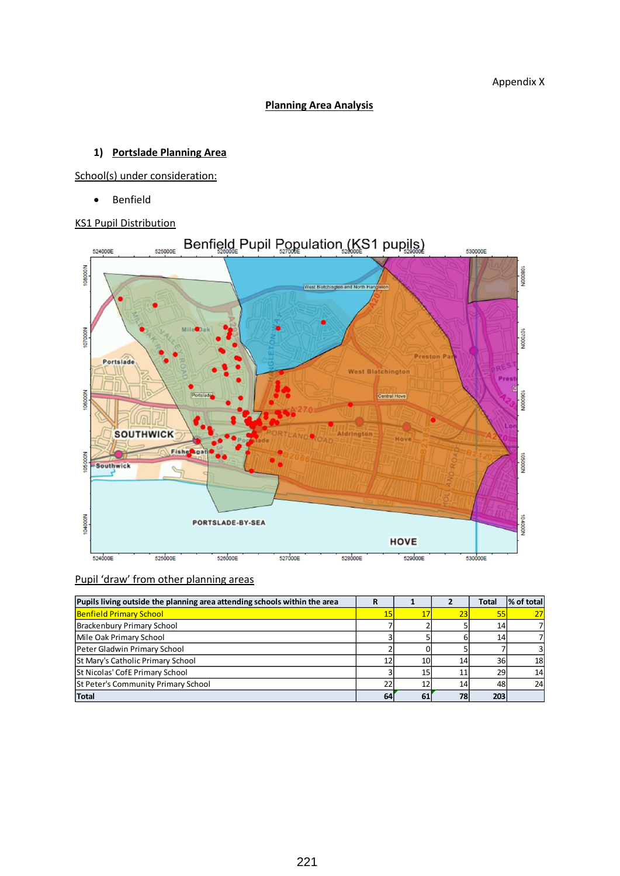# **Planning Area Analysis**

# **1) Portslade Planning Area**

School(s) under consideration:

• Benfield

#### KS1 Pupil Distribution



| Pupils living outside the planning area attending schools within the area | R               |                 |                 | <b>Total</b>    | % of total     |
|---------------------------------------------------------------------------|-----------------|-----------------|-----------------|-----------------|----------------|
| <b>Benfield Primary School</b>                                            | 15 <sub>1</sub> |                 | 23              | 55              | 27             |
| Brackenbury Primary School                                                |                 |                 |                 | 14              | 71             |
| Mile Oak Primary School                                                   |                 |                 | h               | 14 <sup>1</sup> | 71             |
| Peter Gladwin Primary School                                              |                 |                 |                 |                 | $\overline{3}$ |
| St Mary's Catholic Primary School                                         |                 | 10              | 14 <sub>1</sub> | 36I             | 18             |
| St Nicolas' CofE Primary School                                           |                 | 15 <sub>1</sub> |                 | 29              | 14             |
| St Peter's Community Primary School                                       | 22              |                 | 14 <sub>1</sub> | 48              | 24             |
| Total                                                                     | 64              | 61              | 78              | 203             |                |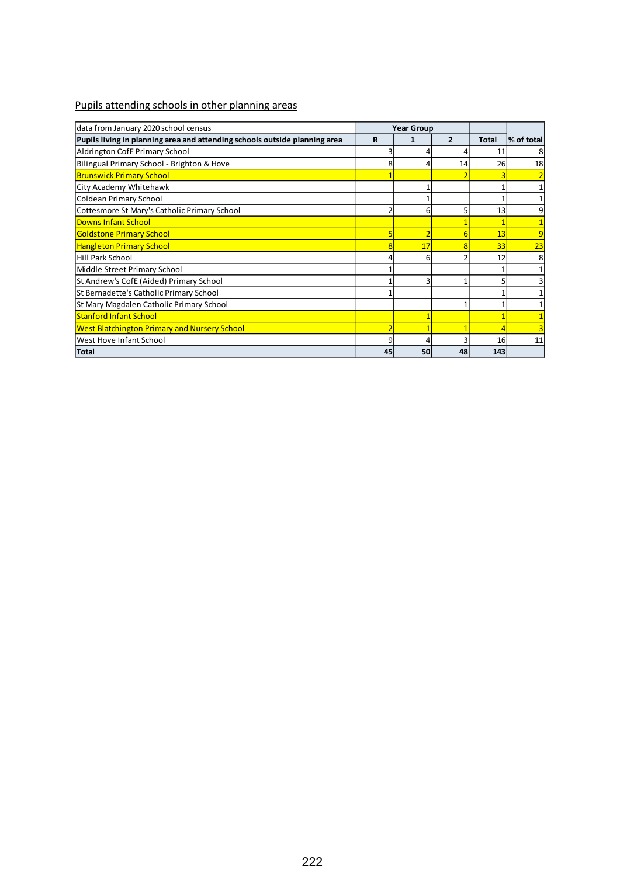| data from January 2020 school census                                       | <b>Year Group</b> |    |                |              |            |
|----------------------------------------------------------------------------|-------------------|----|----------------|--------------|------------|
| Pupils living in planning area and attending schools outside planning area | R                 |    | $\overline{2}$ | <b>Total</b> | % of total |
| Aldrington CofE Primary School                                             |                   |    |                | 11           | 8          |
| Bilingual Primary School - Brighton & Hove                                 |                   |    | 14             | 26           | 18         |
| <b>Brunswick Primary School</b>                                            |                   |    |                |              |            |
| City Academy Whitehawk                                                     |                   |    |                |              |            |
| Coldean Primary School                                                     |                   |    |                |              |            |
| Cottesmore St Mary's Catholic Primary School                               |                   | 6  |                | 13           | 9          |
| <b>Downs Infant School</b>                                                 |                   |    |                |              |            |
| <b>Goldstone Primary School</b>                                            |                   |    |                | 13           | 9          |
| <b>Hangleton Primary School</b>                                            |                   | 17 |                | 33           | 23         |
| <b>Hill Park School</b>                                                    |                   | 6  |                | 12           | 8          |
| Middle Street Primary School                                               |                   |    |                |              |            |
| St Andrew's CofE (Aided) Primary School                                    |                   | р  |                |              |            |
| St Bernadette's Catholic Primary School                                    |                   |    |                |              |            |
| <b>St Mary Magdalen Catholic Primary School</b>                            |                   |    |                |              |            |
| <b>Stanford Infant School</b>                                              |                   |    |                |              |            |
| <b>West Blatchington Primary and Nursery School</b>                        |                   |    |                |              |            |
| <b>West Hove Infant School</b>                                             |                   |    |                | 16           | 11         |
| Total                                                                      | 45                | 50 | 48             | 143          |            |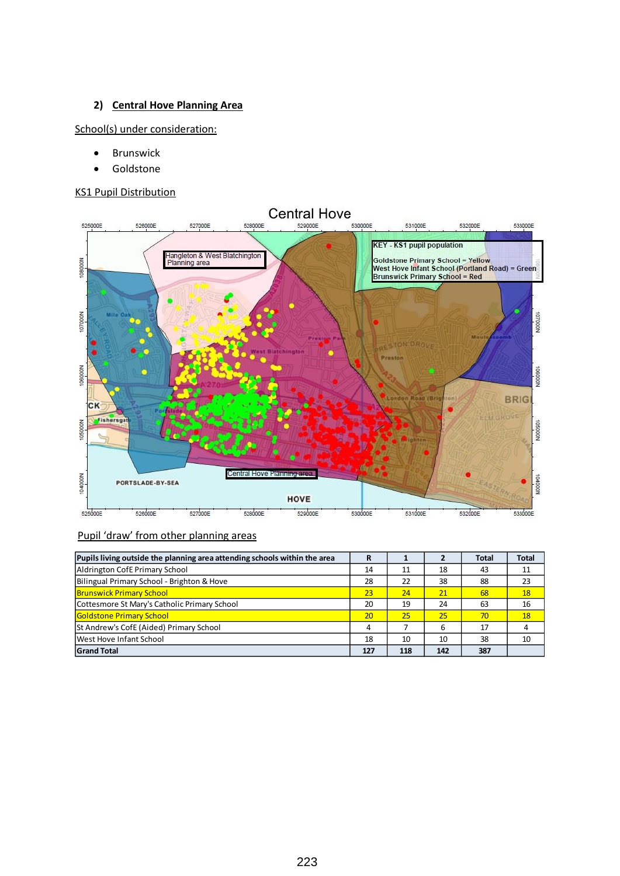# **2) Central Hove Planning Area**

School(s) under consideration:

- Brunswick
- Goldstone

# KS1 Pupil Distribution



| Pupils living outside the planning area attending schools within the area | R   |     |     | <b>Total</b> | <b>Total</b> |
|---------------------------------------------------------------------------|-----|-----|-----|--------------|--------------|
| Aldrington CofE Primary School                                            | 14  | 11  | 18  | 43           | 11           |
| Bilingual Primary School - Brighton & Hove                                | 28  | 22  | 38  | 88           | 23           |
| <b>Brunswick Primary School</b>                                           | 23  | 24  | 21  | 68           | 18           |
| Cottesmore St Mary's Catholic Primary School                              | 20  | 19  | 24  | 63           | 16           |
| <b>Goldstone Primary School</b>                                           | 20  | 25  | 25  | 70           | <b>18</b>    |
| St Andrew's CofE (Aided) Primary School                                   | 4   |     | 6   | 17           |              |
| West Hove Infant School                                                   | 18  | 10  | 10  | 38           | 10           |
| <b>Grand Total</b>                                                        | 127 | 118 | 142 | 387          |              |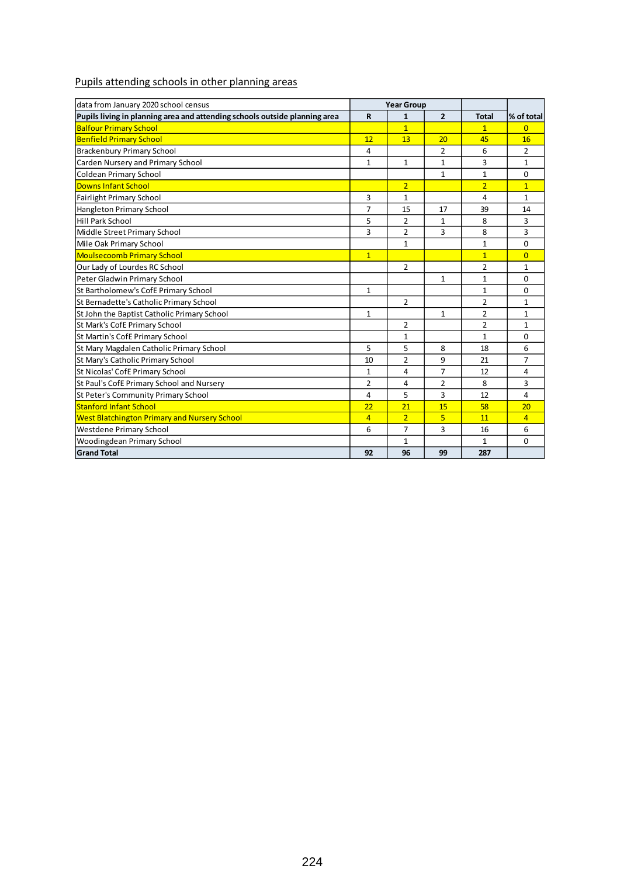| data from January 2020 school census                                       |                | <b>Year Group</b> |                |                |                |
|----------------------------------------------------------------------------|----------------|-------------------|----------------|----------------|----------------|
| Pupils living in planning area and attending schools outside planning area | $\mathbf R$    | 1                 | $\overline{2}$ | <b>Total</b>   | % of total     |
| <b>Balfour Primary School</b>                                              |                | $\overline{1}$    |                | $\mathbf{1}$   | $\Omega$       |
| <b>Benfield Primary School</b>                                             | 12             | 13                | 20             | 45             | 16             |
| <b>Brackenbury Primary School</b>                                          | 4              |                   | 2              | 6              | 2              |
| Carden Nursery and Primary School                                          | $\mathbf{1}$   | 1                 | 1              | 3              | 1              |
| Coldean Primary School                                                     |                |                   | 1              | $\mathbf{1}$   | 0              |
| <b>Downs Infant School</b>                                                 |                | $\overline{2}$    |                | $\overline{2}$ | $\mathbf{1}$   |
| <b>Fairlight Primary School</b>                                            | 3              | $\mathbf{1}$      |                | 4              | 1              |
| Hangleton Primary School                                                   | $\overline{7}$ | 15                | 17             | 39             | 14             |
| <b>Hill Park School</b>                                                    | 5              | $\overline{2}$    | $\mathbf{1}$   | 8              | 3              |
| Middle Street Primary School                                               | 3              | 2                 | 3              | 8              | 3              |
| Mile Oak Primary School                                                    |                | 1                 |                | $\mathbf{1}$   | $\Omega$       |
| <b>Moulsecoomb Primary School</b>                                          | $\mathbf{1}$   |                   |                | $\overline{1}$ | $\overline{0}$ |
| Our Lady of Lourdes RC School                                              |                | $\overline{2}$    |                | $\overline{2}$ | $\mathbf{1}$   |
| Peter Gladwin Primary School                                               |                |                   | $\mathbf{1}$   | $\mathbf{1}$   | $\Omega$       |
| St Bartholomew's CofE Primary School                                       | $\mathbf{1}$   |                   |                | $\mathbf{1}$   | $\Omega$       |
| St Bernadette's Catholic Primary School                                    |                | $\overline{2}$    |                | $\overline{2}$ | 1              |
| St John the Baptist Catholic Primary School                                | $\mathbf{1}$   |                   | 1              | $\overline{2}$ | 1              |
| St Mark's CofE Primary School                                              |                | $\overline{2}$    |                | $\overline{2}$ | $\mathbf{1}$   |
| St Martin's CofE Primary School                                            |                | 1                 |                | $\mathbf{1}$   | $\Omega$       |
| St Mary Magdalen Catholic Primary School                                   | 5              | 5                 | 8              | 18             | 6              |
| St Mary's Catholic Primary School                                          | 10             | $\overline{2}$    | 9              | 21             | 7              |
| St Nicolas' CofE Primary School                                            | $\mathbf{1}$   | 4                 | 7              | 12             | 4              |
| St Paul's CofE Primary School and Nursery                                  | $\overline{2}$ | 4                 | $\overline{2}$ | 8              | 3              |
| St Peter's Community Primary School                                        | 4              | 5                 | 3              | 12             | $\overline{4}$ |
| <b>Stanford Infant School</b>                                              | 22             | 21                | 15             | 58             | 20             |
| <b>West Blatchington Primary and Nursery School</b>                        | $\overline{4}$ | $\overline{2}$    | 5              | 11             | $\overline{4}$ |
| Westdene Primary School                                                    | 6              | 7                 | 3              | 16             | 6              |
| Woodingdean Primary School                                                 |                | 1                 |                | $\mathbf{1}$   | $\Omega$       |
| <b>Grand Total</b>                                                         | 92             | 96                | 99             | 287            |                |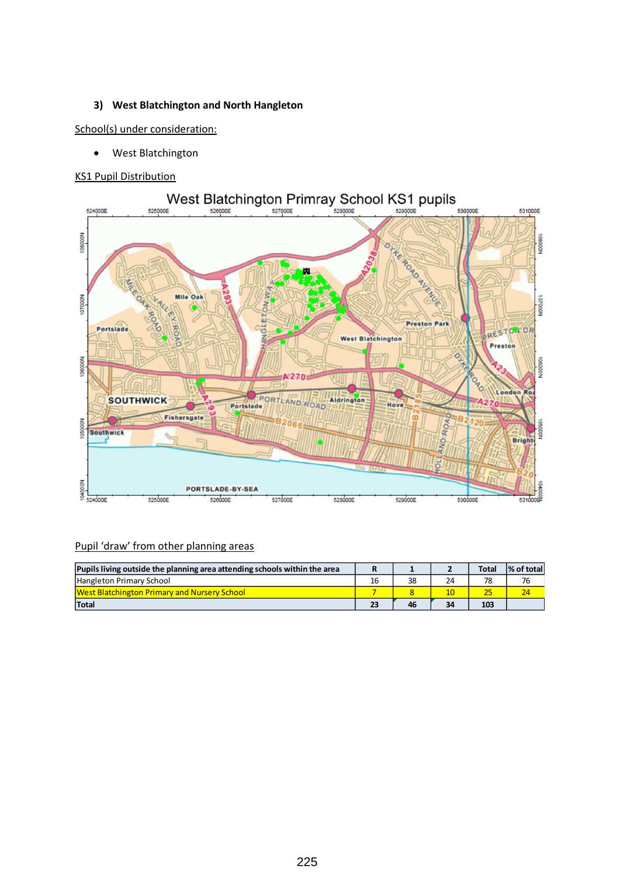#### **3) West Blatchington and North Hangleton**

School(s) under consideration:

• West Blatchington

#### KS1 Pupil Distribution



| Pupils living outside the planning area attending schools within the area |    |    |    | <b>Total</b> | % of total |
|---------------------------------------------------------------------------|----|----|----|--------------|------------|
| Hangleton Primary School                                                  | 16 | 38 | 24 | 78           | 76         |
| <b>West Blatchington Primary and Nursery School</b>                       |    |    | 10 | 25           | 24         |
| Total                                                                     |    | 46 | 34 | 103          |            |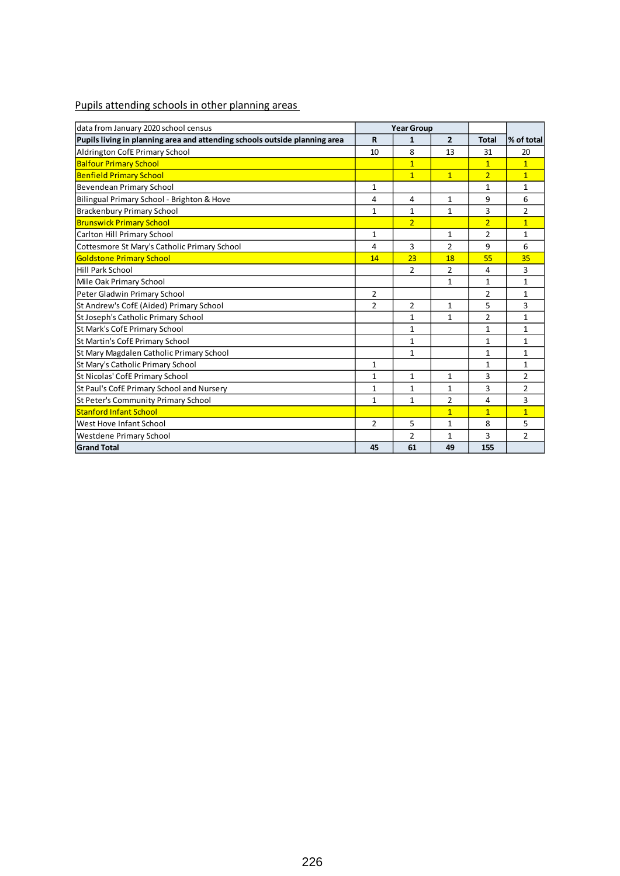| data from January 2020 school census                                       | <b>Year Group</b> |                |                |                |                |
|----------------------------------------------------------------------------|-------------------|----------------|----------------|----------------|----------------|
| Pupils living in planning area and attending schools outside planning area | $\mathbf R$       | 1              | $\overline{2}$ | <b>Total</b>   | % of total     |
| Aldrington CofE Primary School                                             | 10                | 8              | 13             | 31             | 20             |
| <b>Balfour Primary School</b>                                              |                   | $\overline{1}$ |                | $\overline{1}$ | $\mathbf{1}$   |
| <b>Benfield Primary School</b>                                             |                   | $\overline{1}$ | $\overline{1}$ | $\overline{2}$ | $\overline{1}$ |
| Bevendean Primary School                                                   | $\mathbf{1}$      |                |                | $\mathbf{1}$   | $\mathbf{1}$   |
| Bilingual Primary School - Brighton & Hove                                 | 4                 | 4              | $\mathbf{1}$   | 9              | 6              |
| <b>Brackenbury Primary School</b>                                          | 1                 | 1              | 1              | 3              | $\overline{2}$ |
| <b>Brunswick Primary School</b>                                            |                   | $\overline{2}$ |                | $\overline{2}$ | $\overline{1}$ |
| Carlton Hill Primary School                                                | $\mathbf{1}$      |                | $\mathbf{1}$   | $\overline{2}$ | $\mathbf{1}$   |
| Cottesmore St Mary's Catholic Primary School                               | 4                 | 3              | $\overline{2}$ | 9              | 6              |
| <b>Goldstone Primary School</b>                                            | 14                | 23             | 18             | 55             | 35             |
| <b>Hill Park School</b>                                                    |                   | $\overline{2}$ | $\overline{2}$ | 4              | 3              |
| Mile Oak Primary School                                                    |                   |                | 1              | $\mathbf{1}$   | $\mathbf{1}$   |
| Peter Gladwin Primary School                                               | 2                 |                |                | 2              | $\mathbf{1}$   |
| St Andrew's CofE (Aided) Primary School                                    | $\overline{2}$    | $\overline{2}$ | $\mathbf{1}$   | 5              | 3              |
| St Joseph's Catholic Primary School                                        |                   | 1              | 1              | $\overline{2}$ | $\mathbf{1}$   |
| St Mark's CofE Primary School                                              |                   | $\mathbf{1}$   |                | $\mathbf{1}$   | $\mathbf{1}$   |
| St Martin's CofE Primary School                                            |                   | $\mathbf{1}$   |                | $\mathbf{1}$   | $\mathbf{1}$   |
| St Mary Magdalen Catholic Primary School                                   |                   | 1              |                | 1              | 1              |
| St Mary's Catholic Primary School                                          | 1                 |                |                | $\mathbf{1}$   | $\mathbf{1}$   |
| St Nicolas' CofE Primary School                                            | $\mathbf{1}$      | $\mathbf{1}$   | $\mathbf{1}$   | 3              | $\overline{2}$ |
| St Paul's CofE Primary School and Nursery                                  | $\mathbf{1}$      | $\mathbf{1}$   | $\mathbf{1}$   | 3              | $\overline{2}$ |
| St Peter's Community Primary School                                        | $\mathbf{1}$      | $\mathbf{1}$   | $\overline{2}$ | 4              | 3              |
| <b>Stanford Infant School</b>                                              |                   |                | $\overline{1}$ | $\overline{1}$ | $\overline{1}$ |
| West Hove Infant School                                                    | 2                 | 5              | $\mathbf{1}$   | 8              | 5              |
| Westdene Primary School                                                    |                   | $\overline{2}$ | $\mathbf{1}$   | 3              | $\overline{2}$ |
| <b>Grand Total</b>                                                         | 45                | 61             | 49             | 155            |                |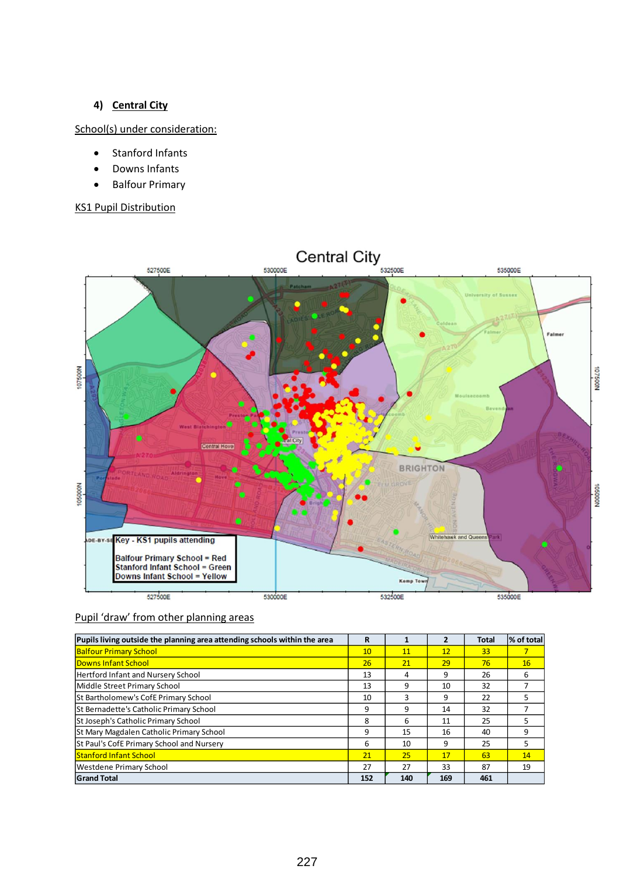# **4) Central City**

# School(s) under consideration:

- Stanford Infants
- Downs Infants
- Balfour Primary

# KS1 Pupil Distribution



| Pupils living outside the planning area attending schools within the area | R   |     | 2   | <b>Total</b> | % of total |
|---------------------------------------------------------------------------|-----|-----|-----|--------------|------------|
| <b>Balfour Primary School</b>                                             | 10  | 11  | 12  | 33           |            |
| Downs Infant School                                                       | 26  | 21  | 29  | 76           | 16         |
| Hertford Infant and Nursery School                                        | 13  | 4   | 9   | 26           | 6          |
| Middle Street Primary School                                              | 13  | 9   | 10  | 32           |            |
| St Bartholomew's CofE Primary School                                      | 10  | 3   | 9   | 22           |            |
| St Bernadette's Catholic Primary School                                   | 9   | 9   | 14  | 32           |            |
| St Joseph's Catholic Primary School                                       | 8   | 6   | 11  | 25           |            |
| St Mary Magdalen Catholic Primary School                                  | 9   | 15  | 16  | 40           | 9          |
| St Paul's CofE Primary School and Nursery                                 | 6   | 10  | 9   | 25           | 5          |
| <b>Stanford Infant School</b>                                             | 21  | 25  | 17  | 63           | 14         |
| Westdene Primary School                                                   | 27  | 27  | 33  | 87           | 19         |
| <b>Grand Total</b>                                                        | 152 | 140 | 169 | 461          |            |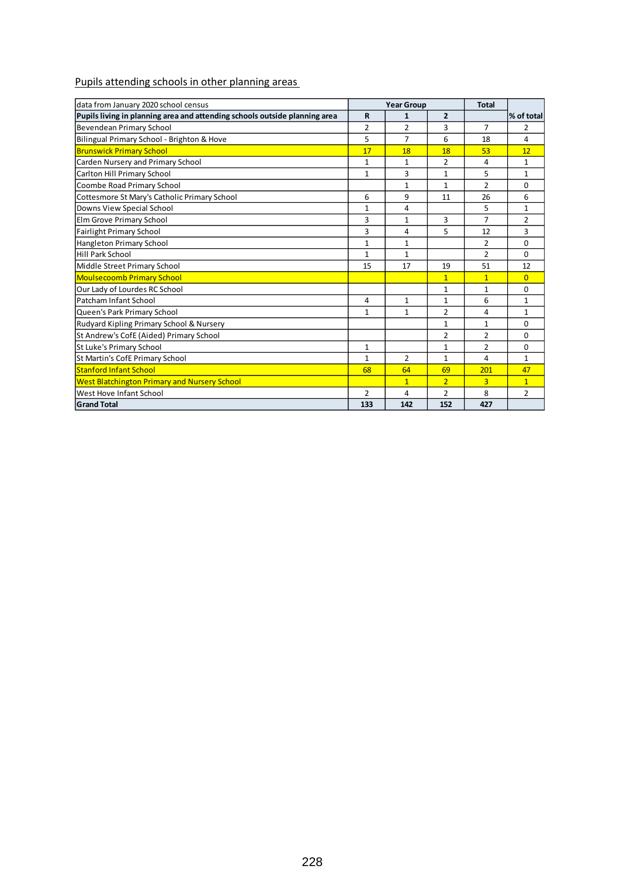| data from January 2020 school census                                       |                | <b>Year Group</b> |                | <b>Total</b>   |                |
|----------------------------------------------------------------------------|----------------|-------------------|----------------|----------------|----------------|
| Pupils living in planning area and attending schools outside planning area | $\mathbf R$    | $\mathbf{1}$      | $\overline{2}$ |                | % of total     |
| Bevendean Primary School                                                   | 2              | 2                 | 3              | $\overline{7}$ | 2              |
| Bilingual Primary School - Brighton & Hove                                 | 5              | $\overline{7}$    | 6              | 18             | 4              |
| <b>Brunswick Primary School</b>                                            | 17             | 18                | 18             | 53             | 12             |
| Carden Nursery and Primary School                                          | $\mathbf{1}$   | $\mathbf{1}$      | $\overline{2}$ | 4              | $\mathbf{1}$   |
| Carlton Hill Primary School                                                | 1              | 3                 | 1              | 5              | 1              |
| Coombe Road Primary School                                                 |                | $\mathbf{1}$      | $\mathbf{1}$   | $\overline{2}$ | $\Omega$       |
| Cottesmore St Mary's Catholic Primary School                               | 6              | 9                 | 11             | 26             | 6              |
| Downs View Special School                                                  | $\mathbf{1}$   | 4                 |                | 5              | $\mathbf{1}$   |
| Elm Grove Primary School                                                   | 3              | 1                 | 3              | $\overline{7}$ | $\overline{2}$ |
| <b>Fairlight Primary School</b>                                            | 3              | 4                 | 5              | 12             | 3              |
| Hangleton Primary School                                                   | 1              | 1                 |                | $\overline{2}$ | $\Omega$       |
| <b>Hill Park School</b>                                                    | $\mathbf{1}$   | $\mathbf{1}$      |                | $\overline{2}$ | $\Omega$       |
| Middle Street Primary School                                               | 15             | 17                | 19             | 51             | 12             |
| <b>Moulsecoomb Primary School</b>                                          |                |                   | $\overline{1}$ | $\mathbf{1}$   | $\overline{0}$ |
| Our Lady of Lourdes RC School                                              |                |                   | 1              | 1              | 0              |
| Patcham Infant School                                                      | 4              | $\mathbf{1}$      | 1              | 6              | $\mathbf{1}$   |
| Queen's Park Primary School                                                | $\mathbf{1}$   | $\mathbf{1}$      | $\overline{2}$ | 4              | $\mathbf{1}$   |
| Rudyard Kipling Primary School & Nursery                                   |                |                   | $\mathbf{1}$   | $\mathbf{1}$   | $\Omega$       |
| St Andrew's CofE (Aided) Primary School                                    |                |                   | $\overline{2}$ | $\overline{2}$ | $\Omega$       |
| St Luke's Primary School                                                   | $\mathbf{1}$   |                   | $\mathbf{1}$   | $\overline{2}$ | $\Omega$       |
| St Martin's CofE Primary School                                            | $\mathbf{1}$   | $\overline{2}$    | $\mathbf{1}$   | 4              | $\mathbf{1}$   |
| <b>Stanford Infant School</b>                                              | 68             | 64                | 69             | 201            | 47             |
| <b>West Blatchington Primary and Nursery School</b>                        |                | $\overline{1}$    | $\overline{2}$ | $\overline{3}$ | $\overline{1}$ |
| West Hove Infant School                                                    | $\overline{2}$ | 4                 | $\overline{2}$ | 8              | $\overline{2}$ |
| <b>Grand Total</b>                                                         | 133            | 142               | 152            | 427            |                |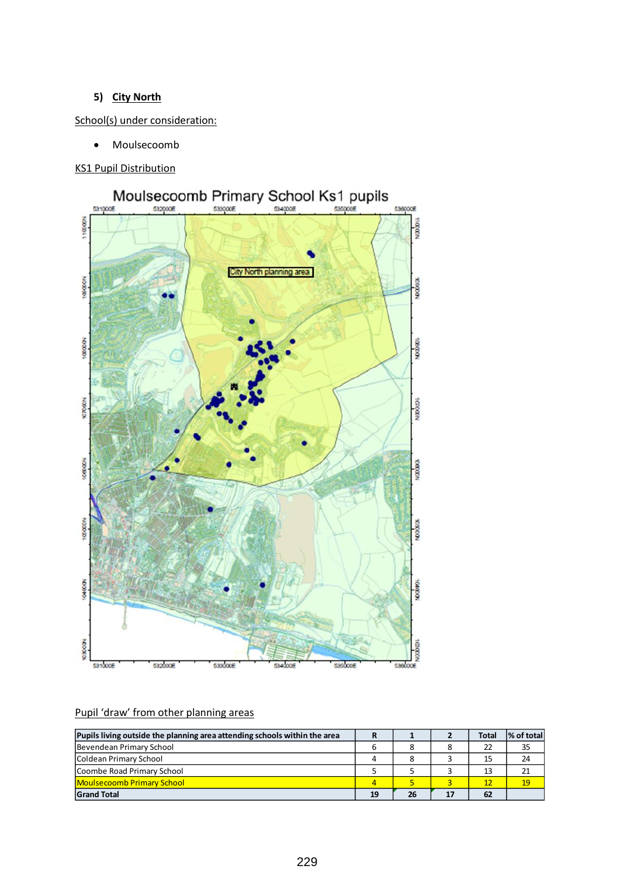# **5) City North**

School(s) under consideration:

• Moulsecoomb

KS1 Pupil Distribution



| Pupils living outside the planning area attending schools within the area |                |    |    | <b>Total</b> | % of total |
|---------------------------------------------------------------------------|----------------|----|----|--------------|------------|
| Bevendean Primary School                                                  | 6              |    |    | 22           | 35         |
| Coldean Primary School                                                    | 4              |    |    | 15           | 24         |
| Coombe Road Primary School                                                |                |    |    | 13           | 21         |
| <b>Moulsecoomb Primary School</b>                                         | $\overline{4}$ |    |    | 12           | 19         |
| <b>Grand Total</b>                                                        | 19             | 26 | 17 | 62           |            |